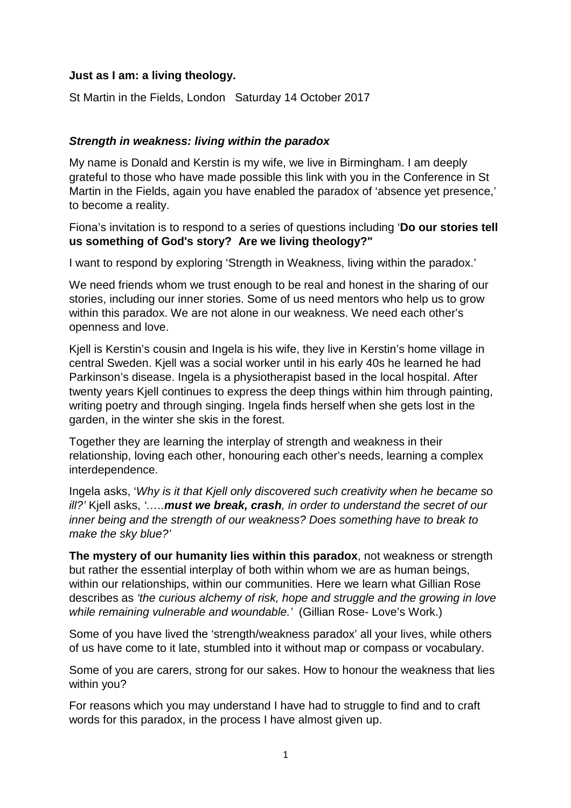## **Just as I am: a living theology.**

St Martin in the Fields, London Saturday 14 October 2017

## **Strength in weakness: living within the paradox**

My name is Donald and Kerstin is my wife, we live in Birmingham. I am deeply grateful to those who have made possible this link with you in the Conference in St Martin in the Fields, again you have enabled the paradox of 'absence yet presence,' to become a reality.

Fiona's invitation is to respond to a series of questions including '**Do our stories tell us something of God's story? Are we living theology?"** 

I want to respond by exploring 'Strength in Weakness, living within the paradox.'

We need friends whom we trust enough to be real and honest in the sharing of our stories, including our inner stories. Some of us need mentors who help us to grow within this paradox. We are not alone in our weakness. We need each other's openness and love.

Kjell is Kerstin's cousin and Ingela is his wife, they live in Kerstin's home village in central Sweden. Kjell was a social worker until in his early 40s he learned he had Parkinson's disease. Ingela is a physiotherapist based in the local hospital. After twenty years Kjell continues to express the deep things within him through painting, writing poetry and through singing. Ingela finds herself when she gets lost in the garden, in the winter she skis in the forest.

Together they are learning the interplay of strength and weakness in their relationship, loving each other, honouring each other's needs, learning a complex interdependence.

Ingela asks, 'Why is it that Kjell only discovered such creativity when he became so ill?' Kjell asks, '…..**must we break, crash**, in order to understand the secret of our inner being and the strength of our weakness? Does something have to break to make the sky blue?'

**The mystery of our humanity lies within this paradox**, not weakness or strength but rather the essential interplay of both within whom we are as human beings, within our relationships, within our communities. Here we learn what Gillian Rose describes as 'the curious alchemy of risk, hope and struggle and the growing in love while remaining vulnerable and woundable.' (Gillian Rose- Love's Work.)

Some of you have lived the 'strength/weakness paradox' all your lives, while others of us have come to it late, stumbled into it without map or compass or vocabulary.

Some of you are carers, strong for our sakes. How to honour the weakness that lies within you?

For reasons which you may understand I have had to struggle to find and to craft words for this paradox, in the process I have almost given up.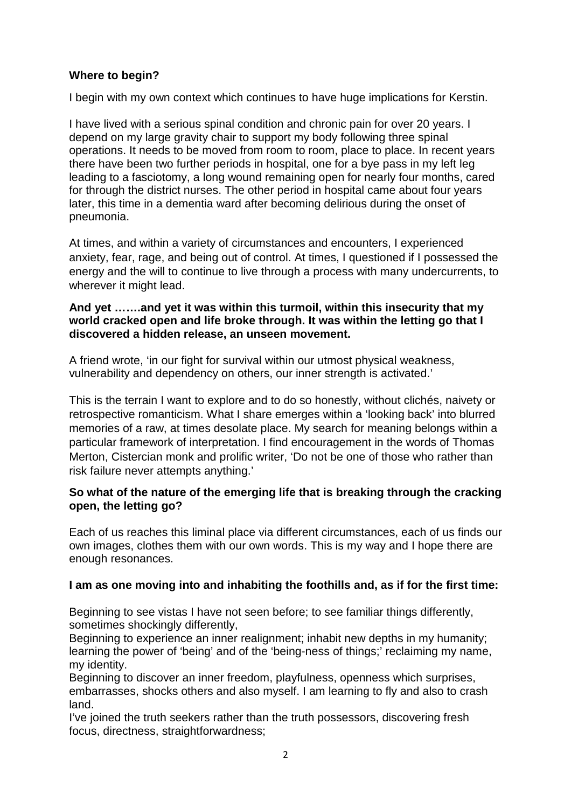# **Where to begin?**

I begin with my own context which continues to have huge implications for Kerstin.

I have lived with a serious spinal condition and chronic pain for over 20 years. I depend on my large gravity chair to support my body following three spinal operations. It needs to be moved from room to room, place to place. In recent years there have been two further periods in hospital, one for a bye pass in my left leg leading to a fasciotomy, a long wound remaining open for nearly four months, cared for through the district nurses. The other period in hospital came about four years later, this time in a dementia ward after becoming delirious during the onset of pneumonia.

At times, and within a variety of circumstances and encounters, I experienced anxiety, fear, rage, and being out of control. At times, I questioned if I possessed the energy and the will to continue to live through a process with many undercurrents, to wherever it might lead.

#### **And yet …….and yet it was within this turmoil, within this insecurity that my world cracked open and life broke through. It was within the letting go that I discovered a hidden release, an unseen movement.**

A friend wrote, 'in our fight for survival within our utmost physical weakness, vulnerability and dependency on others, our inner strength is activated.'

This is the terrain I want to explore and to do so honestly, without clichés, naivety or retrospective romanticism. What I share emerges within a 'looking back' into blurred memories of a raw, at times desolate place. My search for meaning belongs within a particular framework of interpretation. I find encouragement in the words of Thomas Merton, Cistercian monk and prolific writer, 'Do not be one of those who rather than risk failure never attempts anything.'

## **So what of the nature of the emerging life that is breaking through the cracking open, the letting go?**

Each of us reaches this liminal place via different circumstances, each of us finds our own images, clothes them with our own words. This is my way and I hope there are enough resonances.

# **I am as one moving into and inhabiting the foothills and, as if for the first time:**

Beginning to see vistas I have not seen before; to see familiar things differently, sometimes shockingly differently,

Beginning to experience an inner realignment; inhabit new depths in my humanity; learning the power of 'being' and of the 'being-ness of things;' reclaiming my name, my identity.

Beginning to discover an inner freedom, playfulness, openness which surprises, embarrasses, shocks others and also myself. I am learning to fly and also to crash land.

I've joined the truth seekers rather than the truth possessors, discovering fresh focus, directness, straightforwardness;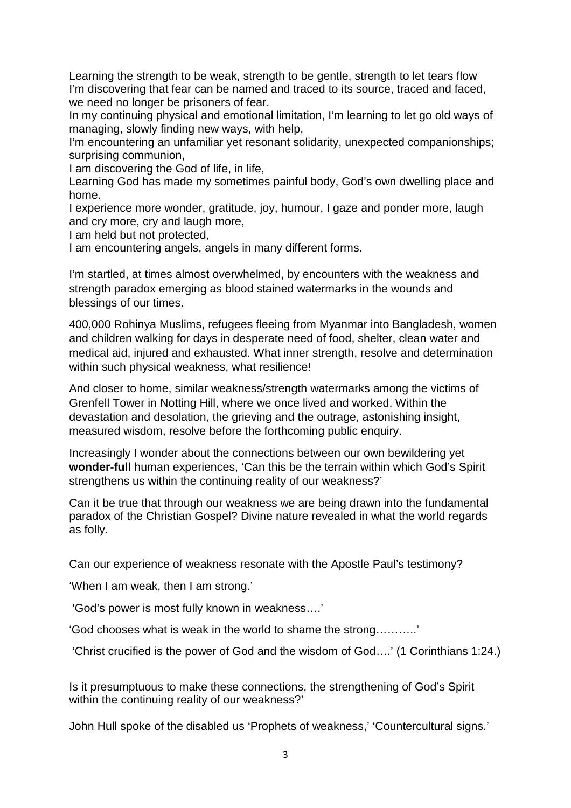Learning the strength to be weak, strength to be gentle, strength to let tears flow I'm discovering that fear can be named and traced to its source, traced and faced, we need no longer be prisoners of fear.

In my continuing physical and emotional limitation, I'm learning to let go old ways of managing, slowly finding new ways, with help,

I'm encountering an unfamiliar yet resonant solidarity, unexpected companionships; surprising communion,

I am discovering the God of life, in life,

Learning God has made my sometimes painful body, God's own dwelling place and home.

I experience more wonder, gratitude, joy, humour, I gaze and ponder more, laugh and cry more, cry and laugh more,

I am held but not protected,

I am encountering angels, angels in many different forms.

I'm startled, at times almost overwhelmed, by encounters with the weakness and strength paradox emerging as blood stained watermarks in the wounds and blessings of our times.

400,000 Rohinya Muslims, refugees fleeing from Myanmar into Bangladesh, women and children walking for days in desperate need of food, shelter, clean water and medical aid, injured and exhausted. What inner strength, resolve and determination within such physical weakness, what resilience!

And closer to home, similar weakness/strength watermarks among the victims of Grenfell Tower in Notting Hill, where we once lived and worked. Within the devastation and desolation, the grieving and the outrage, astonishing insight, measured wisdom, resolve before the forthcoming public enquiry.

Increasingly I wonder about the connections between our own bewildering yet **wonder-full** human experiences, 'Can this be the terrain within which God's Spirit strengthens us within the continuing reality of our weakness?'

Can it be true that through our weakness we are being drawn into the fundamental paradox of the Christian Gospel? Divine nature revealed in what the world regards as folly.

Can our experience of weakness resonate with the Apostle Paul's testimony?

'When I am weak, then I am strong.'

'God's power is most fully known in weakness….'

'God chooses what is weak in the world to shame the strong………..'

'Christ crucified is the power of God and the wisdom of God….' (1 Corinthians 1:24.)

Is it presumptuous to make these connections, the strengthening of God's Spirit within the continuing reality of our weakness?'

John Hull spoke of the disabled us 'Prophets of weakness,' 'Countercultural signs.'